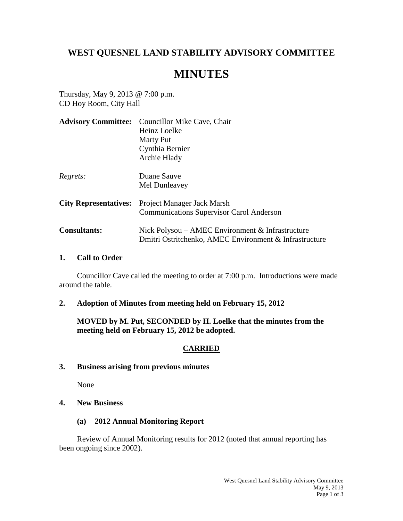# **WEST QUESNEL LAND STABILITY ADVISORY COMMITTEE**

# **MINUTES**

Thursday, May 9, 2013 @ 7:00 p.m. CD Hoy Room, City Hall

| <b>Advisory Committee:</b>   | Councillor Mike Cave, Chair                            |
|------------------------------|--------------------------------------------------------|
|                              | Heinz Loelke                                           |
|                              | <b>Marty Put</b>                                       |
|                              | Cynthia Bernier                                        |
|                              | Archie Hlady                                           |
| Regrets:                     | Duane Sauve                                            |
|                              | Mel Dunleavey                                          |
| <b>City Representatives:</b> | Project Manager Jack Marsh                             |
|                              | <b>Communications Supervisor Carol Anderson</b>        |
| <b>Consultants:</b>          | Nick Polysou – AMEC Environment $&$ Infrastructure     |
|                              | Dmitri Ostritchenko, AMEC Environment & Infrastructure |

#### **1. Call to Order**

Councillor Cave called the meeting to order at 7:00 p.m. Introductions were made around the table.

**2. Adoption of Minutes from meeting held on February 15, 2012**

**MOVED by M. Put, SECONDED by H. Loelke that the minutes from the meeting held on February 15, 2012 be adopted.**

#### **CARRIED**

**3. Business arising from previous minutes**

None

- **4. New Business**
	- **(a) 2012 Annual Monitoring Report**

Review of Annual Monitoring results for 2012 (noted that annual reporting has been ongoing since 2002).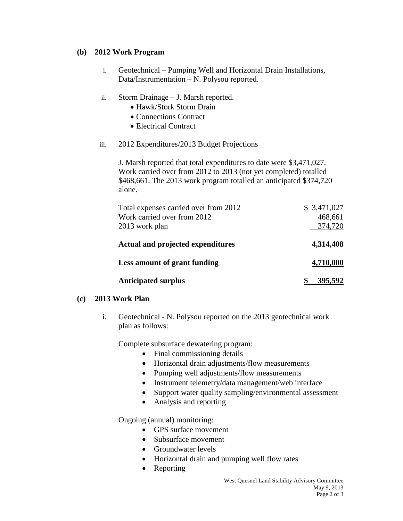#### **(b) 2012 Work Program**

- i. Geotechnical Pumping Well and Horizontal Drain Installations, Data/Instrumentation – N. Polysou reported.
- ii. Storm Drainage J. Marsh reported.
	- Hawk/Stork Storm Drain
	- Connections Contract
	- Electrical Contract
- iii. 2012 Expenditures/2013 Budget Projections

J. Marsh reported that total expenditures to date were \$3,471,027. Work carried over from 2012 to 2013 (not yet completed) totalled \$468,661. The 2013 work program totalled an anticipated \$374,720 alone.

| Total expenses carried over from 2012<br>Work carried over from 2012<br>2013 work plan | \$3,471,027<br>468,661<br>374,720 |
|----------------------------------------------------------------------------------------|-----------------------------------|
| <b>Actual and projected expenditures</b>                                               | 4,314,408                         |
| Less amount of grant funding                                                           | 4,710,000                         |
| <b>Anticipated surplus</b>                                                             | 395,592                           |

## **(c) 2013 Work Plan**

i. Geotechnical - N. Polysou reported on the 2013 geotechnical work plan as follows:

Complete subsurface dewatering program:

- Final commissioning details
- Horizontal drain adjustments/flow measurements
- Pumping well adjustments/flow measurements
- Instrument telemetry/data management/web interface
- Support water quality sampling/environmental assessment
- Analysis and reporting

Ongoing (annual) monitoring:

- GPS surface movement
- Subsurface movement
- Groundwater levels
- Horizontal drain and pumping well flow rates
- Reporting